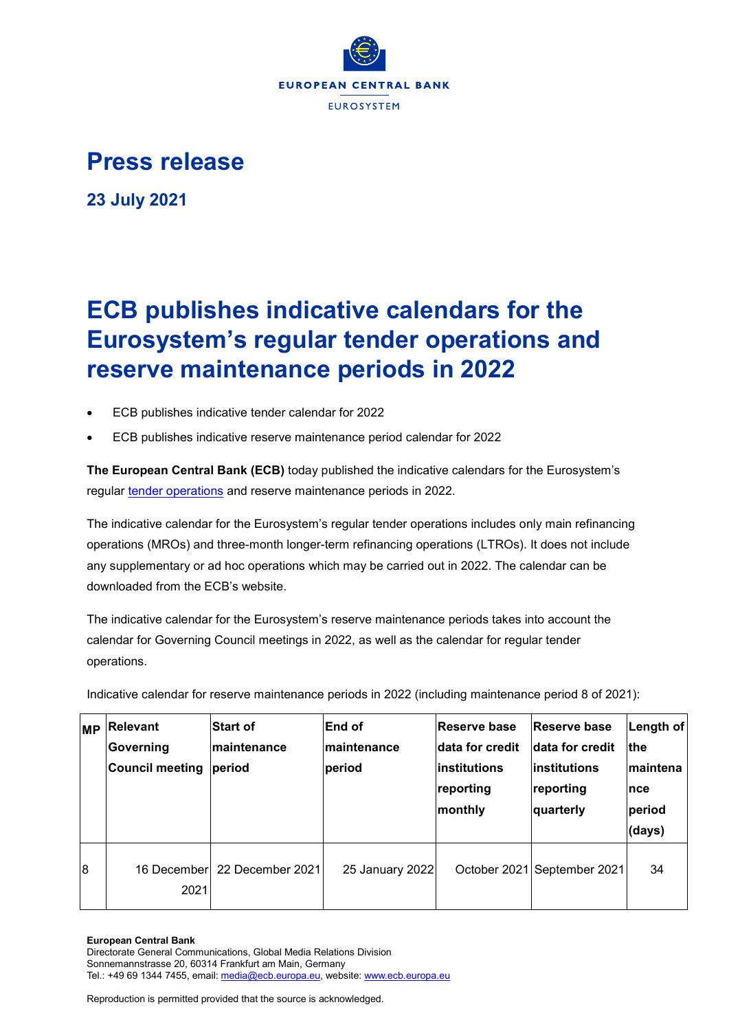

## **Press release**

**23 July 2021**

## **ECB publishes indicative calendars for the Eurosystem's regular tender operations and reserve maintenance periods in 2022**

- ECB publishes indicative tender calendar for 2022
- ECB publishes indicative reserve maintenance period calendar for 2022

**The European Central Bank (ECB)** today published the indicative calendars for the Eurosystem's regular [tender operations](https://www.ecb.europa.eu/pub/pdf/annex/ecb.tender_operations_calendar_2022.en.pdf) and reserve maintenance periods in 2022.

The indicative calendar for the Eurosystem's regular tender operations includes only main refinancing operations (MROs) and three-month longer-term refinancing operations (LTROs). It does not include any supplementary or ad hoc operations which may be carried out in 2022. The calendar can be downloaded from the ECB's website.

The indicative calendar for the Eurosystem's reserve maintenance periods takes into account the calendar for Governing Council meetings in 2022, as well as the calendar for regular tender operations.

Indicative calendar for reserve maintenance periods in 2022 (including maintenance period 8 of 2021):

| <b>MP</b> | <b>Relevant</b><br>Governing<br><b>Council meeting</b> | <b>Start of</b><br>Imaintenance<br>period | End of<br>Imaintenance<br>period | <b>Reserve base</b><br>Idata for credit<br>linstitutions<br>reporting<br>monthly | <b>Reserve base</b><br>data for credit<br>linstitutions<br>reporting<br>quarterly | Length of<br><b>Ithe</b><br>Imaintena<br><b>Ince</b><br>period<br>(days) |
|-----------|--------------------------------------------------------|-------------------------------------------|----------------------------------|----------------------------------------------------------------------------------|-----------------------------------------------------------------------------------|--------------------------------------------------------------------------|
| 8         | 16 Decemberl<br>2021                                   | 22 December 2021                          | 25 January 2022                  |                                                                                  | October 2021 September 2021                                                       | 34                                                                       |

## **European Central Bank**

Directorate General Communications, Global Media Relations Division Sonnemannstrasse 20, 60314 Frankfurt am Main, Germany Tel.: +49 69 1344 7455, email[: media@ecb.europa.eu,](mailto:media@ecb.europa.eu) website[: www.ecb.europa.eu](http://www.ecb.europa.eu/)

Reproduction is permitted provided that the source is acknowledged.